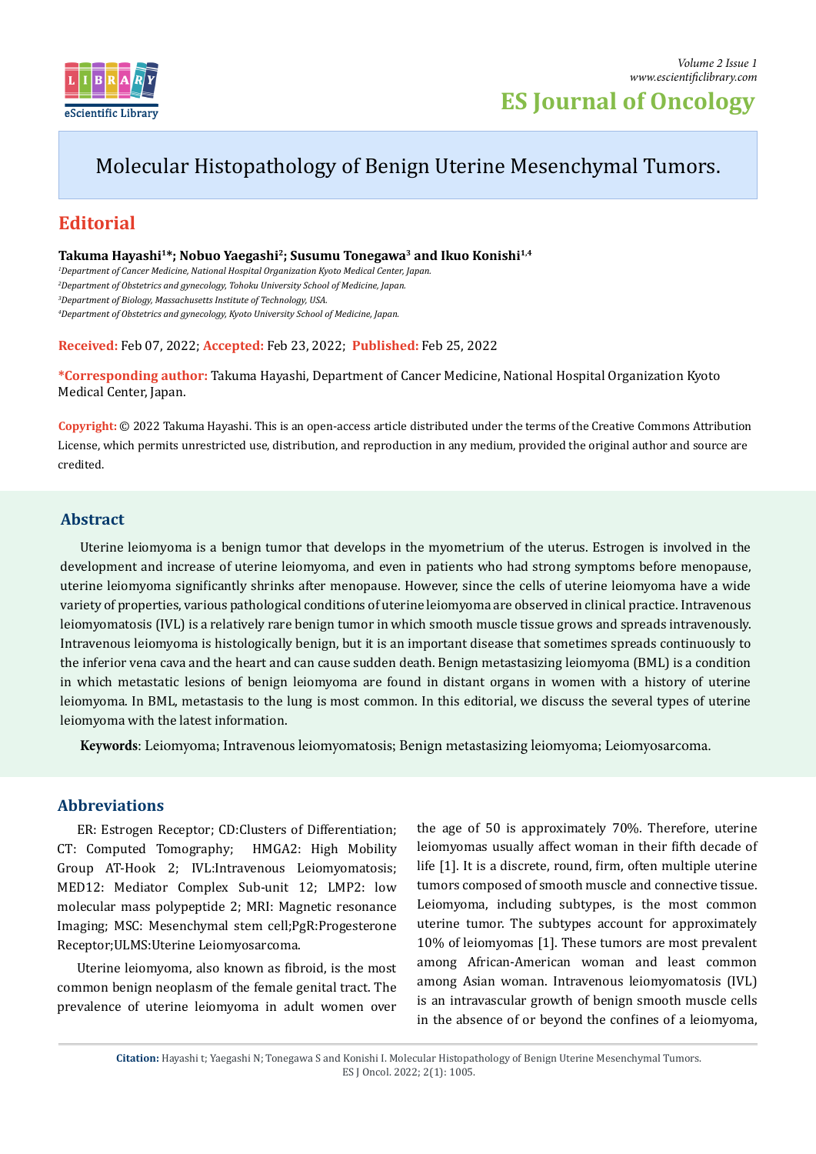

# Molecular Histopathology of Benign Uterine Mesenchymal Tumors.

# **Editorial**

Takuma Hayashi<sup>1\*</sup>; Nobuo Yaegashi<sup>2</sup>; Susumu Tonegawa<sup>3</sup> and Ikuo Konishi<sup>1,4</sup>

 *Department of Cancer Medicine, National Hospital Organization Kyoto Medical Center, Japan. Department of Obstetrics and gynecology, Tohoku University School of Medicine, Japan. Department of Biology, Massachusetts Institute of Technology, USA. Department of Obstetrics and gynecology, Kyoto University School of Medicine, Japan.*

**Received:** Feb 07, 2022; **Accepted:** Feb 23, 2022; **Published:** Feb 25, 2022

**\*Corresponding author:** Takuma Hayashi, Department of Cancer Medicine, National Hospital Organization Kyoto Medical Center, Japan.

**Copyright:** © 2022 Takuma Hayashi. This is an open-access article distributed under the terms of the Creative Commons Attribution License, which permits unrestricted use, distribution, and reproduction in any medium, provided the original author and source are credited.

### **Abstract**

Uterine leiomyoma is a benign tumor that develops in the myometrium of the uterus. Estrogen is involved in the development and increase of uterine leiomyoma, and even in patients who had strong symptoms before menopause, uterine leiomyoma significantly shrinks after menopause. However, since the cells of uterine leiomyoma have a wide variety of properties, various pathological conditions of uterine leiomyoma are observed in clinical practice. Intravenous leiomyomatosis (IVL) is a relatively rare benign tumor in which smooth muscle tissue grows and spreads intravenously. Intravenous leiomyoma is histologically benign, but it is an important disease that sometimes spreads continuously to the inferior vena cava and the heart and can cause sudden death. Benign metastasizing leiomyoma (BML) is a condition in which metastatic lesions of benign leiomyoma are found in distant organs in women with a history of uterine leiomyoma. In BML, metastasis to the lung is most common. In this editorial, we discuss the several types of uterine leiomyoma with the latest information.

**Keywords**: Leiomyoma; Intravenous leiomyomatosis; Benign metastasizing leiomyoma; Leiomyosarcoma.

# **Abbreviations**

ER: Estrogen Receptor; CD:Clusters of Differentiation; CT: Computed Tomography; HMGA2: High Mobility Group AT-Hook 2; IVL:Intravenous Leiomyomatosis; MED12: Mediator Complex Sub-unit 12; LMP2: low molecular mass polypeptide 2; MRI: Magnetic resonance Imaging; MSC: Mesenchymal stem cell;PgR:Progesterone Receptor;ULMS:Uterine Leiomyosarcoma.

Uterine leiomyoma, also known as fibroid, is the most common benign neoplasm of the female genital tract. The prevalence of uterine leiomyoma in adult women over the age of 50 is approximately 70%. Therefore, uterine leiomyomas usually affect woman in their fifth decade of life [1]. It is a discrete, round, firm, often multiple uterine tumors composed of smooth muscle and connective tissue. Leiomyoma, including subtypes, is the most common uterine tumor. The subtypes account for approximately 10% of leiomyomas [1]. These tumors are most prevalent among African-American woman and least common among Asian woman. Intravenous leiomyomatosis (IVL) is an intravascular growth of benign smooth muscle cells in the absence of or beyond the confines of a leiomyoma,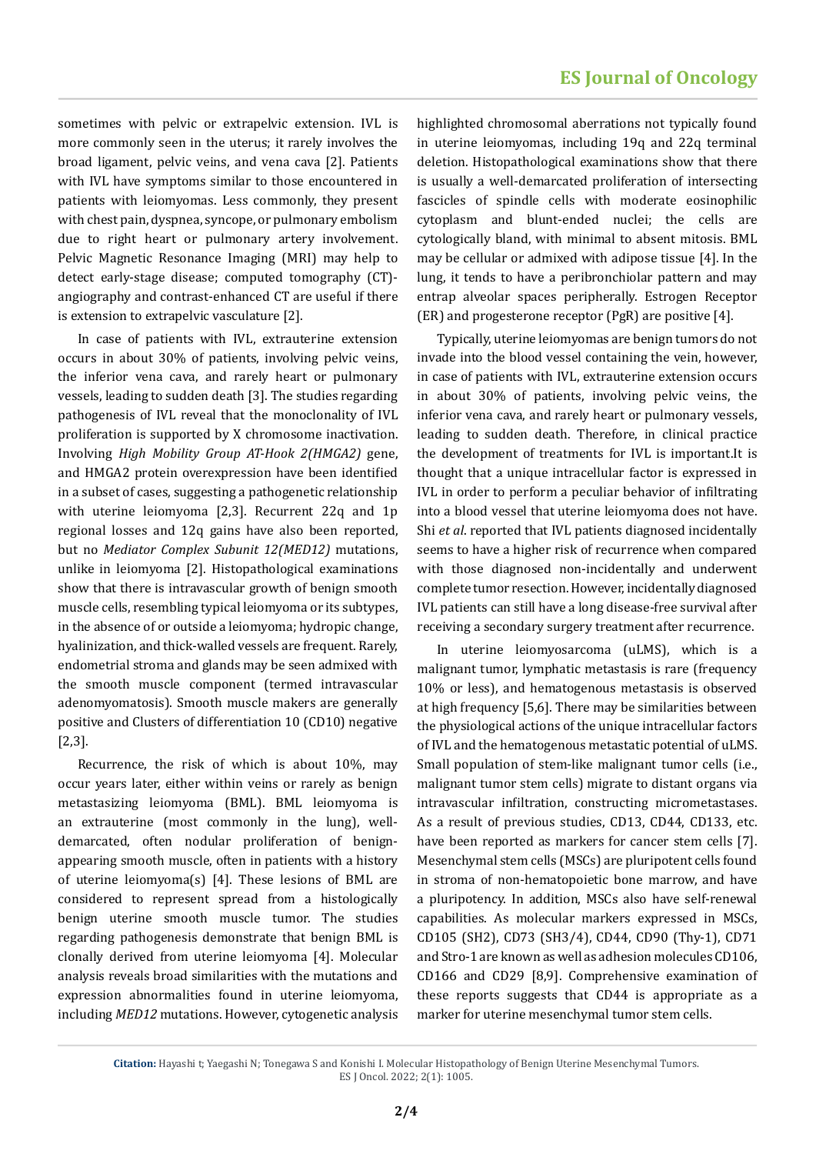sometimes with pelvic or extrapelvic extension. IVL is more commonly seen in the uterus; it rarely involves the broad ligament, pelvic veins, and vena cava [2]. Patients with IVL have symptoms similar to those encountered in patients with leiomyomas. Less commonly, they present with chest pain, dyspnea, syncope, or pulmonary embolism due to right heart or pulmonary artery involvement. Pelvic Magnetic Resonance Imaging (MRI) may help to detect early-stage disease; computed tomography (CT) angiography and contrast-enhanced CT are useful if there is extension to extrapelvic vasculature [2].

In case of patients with IVL, extrauterine extension occurs in about 30% of patients, involving pelvic veins, the inferior vena cava, and rarely heart or pulmonary vessels, leading to sudden death [3]. The studies regarding pathogenesis of IVL reveal that the monoclonality of IVL proliferation is supported by X chromosome inactivation. Involving *High Mobility Group AT-Hook 2(HMGA2)* gene, and HMGA2 protein overexpression have been identified in a subset of cases, suggesting a pathogenetic relationship with uterine leiomyoma [2,3]. Recurrent 22q and 1p regional losses and 12q gains have also been reported, but no *Mediator Complex Subunit 12(MED12)* mutations, unlike in leiomyoma [2]. Histopathological examinations show that there is intravascular growth of benign smooth muscle cells, resembling typical leiomyoma or its subtypes, in the absence of or outside a leiomyoma; hydropic change, hyalinization, and thick-walled vessels are frequent. Rarely, endometrial stroma and glands may be seen admixed with the smooth muscle component (termed intravascular adenomyomatosis). Smooth muscle makers are generally positive and Clusters of differentiation 10 (CD10) negative [2,3].

Recurrence, the risk of which is about 10%, may occur years later, either within veins or rarely as benign metastasizing leiomyoma (BML). BML leiomyoma is an extrauterine (most commonly in the lung), welldemarcated, often nodular proliferation of benignappearing smooth muscle, often in patients with a history of uterine leiomyoma(s) [4]. These lesions of BML are considered to represent spread from a histologically benign uterine smooth muscle tumor. The studies regarding pathogenesis demonstrate that benign BML is clonally derived from uterine leiomyoma [4]. Molecular analysis reveals broad similarities with the mutations and expression abnormalities found in uterine leiomyoma, including *MED12* mutations. However, cytogenetic analysis highlighted chromosomal aberrations not typically found in uterine leiomyomas, including 19q and 22q terminal deletion. Histopathological examinations show that there is usually a well-demarcated proliferation of intersecting fascicles of spindle cells with moderate eosinophilic cytoplasm and blunt-ended nuclei; the cells are cytologically bland, with minimal to absent mitosis. BML may be cellular or admixed with adipose tissue [4]. In the lung, it tends to have a peribronchiolar pattern and may entrap alveolar spaces peripherally. Estrogen Receptor (ER) and progesterone receptor (PgR) are positive [4].

Typically, uterine leiomyomas are benign tumors do not invade into the blood vessel containing the vein, however, in case of patients with IVL, extrauterine extension occurs in about 30% of patients, involving pelvic veins, the inferior vena cava, and rarely heart or pulmonary vessels, leading to sudden death. Therefore, in clinical practice the development of treatments for IVL is important.It is thought that a unique intracellular factor is expressed in IVL in order to perform a peculiar behavior of infiltrating into a blood vessel that uterine leiomyoma does not have. Shi *et al*. reported that IVL patients diagnosed incidentally seems to have a higher risk of recurrence when compared with those diagnosed non-incidentally and underwent complete tumor resection. However, incidentally diagnosed IVL patients can still have a long disease-free survival after receiving a secondary surgery treatment after recurrence.

In uterine leiomyosarcoma (uLMS), which is a malignant tumor, lymphatic metastasis is rare (frequency 10% or less), and hematogenous metastasis is observed at high frequency [5,6]. There may be similarities between the physiological actions of the unique intracellular factors of IVL and the hematogenous metastatic potential of uLMS. Small population of stem-like malignant tumor cells (i.e., malignant tumor stem cells) migrate to distant organs via intravascular infiltration, constructing micrometastases. As a result of previous studies, CD13, CD44, CD133, etc. have been reported as markers for cancer stem cells [7]. Mesenchymal stem cells (MSCs) are pluripotent cells found in stroma of non-hematopoietic bone marrow, and have a pluripotency. In addition, MSCs also have self-renewal capabilities. As molecular markers expressed in MSCs, CD105 (SH2), CD73 (SH3/4), CD44, CD90 (Thy-1), CD71 and Stro-1 are known as well as adhesion molecules CD106, CD166 and CD29 [8,9]. Comprehensive examination of these reports suggests that CD44 is appropriate as a marker for uterine mesenchymal tumor stem cells.

**Citation:** Hayashi t; Yaegashi N; Tonegawa S and Konishi I. Molecular Histopathology of Benign Uterine Mesenchymal Tumors. ES J Oncol. 2022; 2(1): 1005.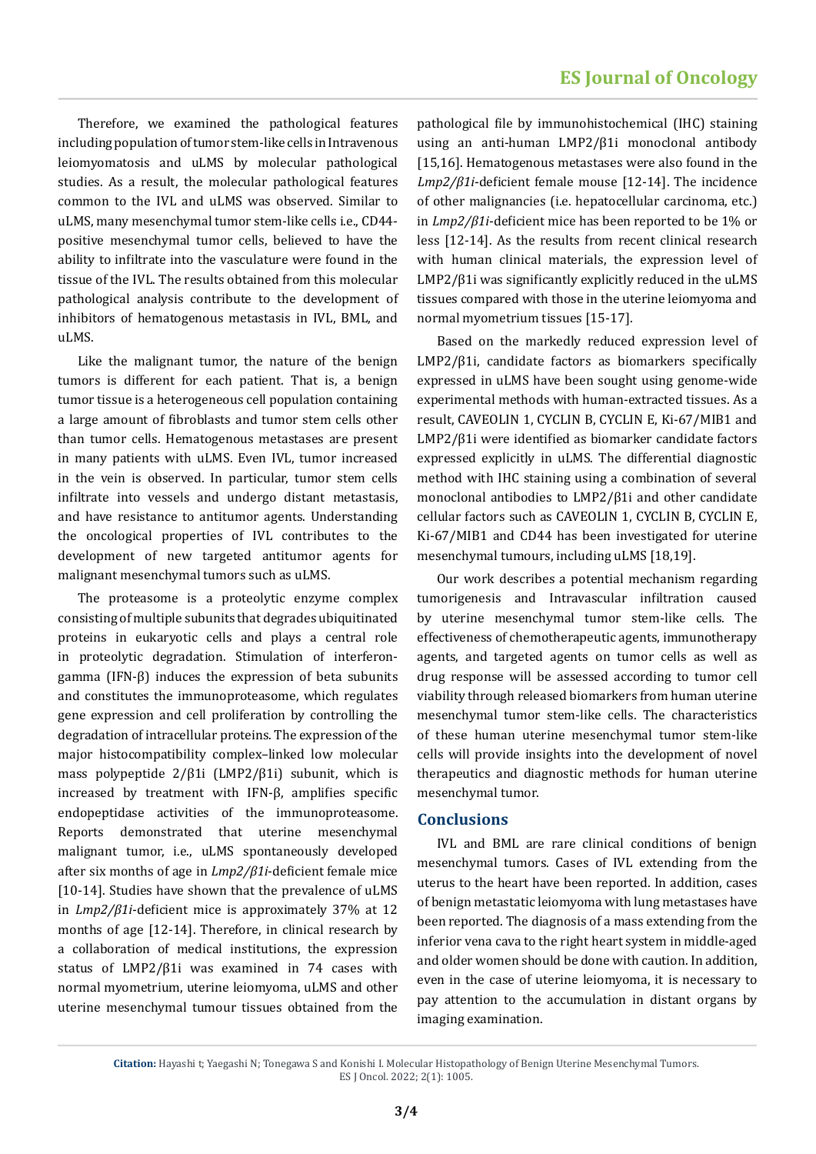Therefore, we examined the pathological features including population of tumor stem-like cells in Intravenous leiomyomatosis and uLMS by molecular pathological studies. As a result, the molecular pathological features common to the IVL and uLMS was observed. Similar to uLMS, many mesenchymal tumor stem-like cells i.e., CD44 positive mesenchymal tumor cells, believed to have the ability to infiltrate into the vasculature were found in the tissue of the IVL. The results obtained from this molecular pathological analysis contribute to the development of inhibitors of hematogenous metastasis in IVL, BML, and uLMS.

Like the malignant tumor, the nature of the benign tumors is different for each patient. That is, a benign tumor tissue is a heterogeneous cell population containing a large amount of fibroblasts and tumor stem cells other than tumor cells. Hematogenous metastases are present in many patients with uLMS. Even IVL, tumor increased in the vein is observed. In particular, tumor stem cells infiltrate into vessels and undergo distant metastasis, and have resistance to antitumor agents. Understanding the oncological properties of IVL contributes to the development of new targeted antitumor agents for malignant mesenchymal tumors such as uLMS.

The proteasome is a proteolytic enzyme complex consisting of multiple subunits that degrades ubiquitinated proteins in eukaryotic cells and plays a central role in proteolytic degradation. Stimulation of interferongamma (IFN-β) induces the expression of beta subunits and constitutes the immunoproteasome, which regulates gene expression and cell proliferation by controlling the degradation of intracellular proteins. The expression of the major histocompatibility complex–linked low molecular mass polypeptide 2/β1i (LMP2/β1i) subunit, which is increased by treatment with IFN-β, amplifies specific endopeptidase activities of the immunoproteasome. Reports demonstrated that uterine mesenchymal malignant tumor, i.e., uLMS spontaneously developed after six months of age in *Lmp2/β1i*-deficient female mice [10-14]. Studies have shown that the prevalence of uLMS in *Lmp2/β1i*-deficient mice is approximately 37% at 12 months of age [12-14]. Therefore, in clinical research by a collaboration of medical institutions, the expression status of LMP2/β1i was examined in 74 cases with normal myometrium, uterine leiomyoma, uLMS and other uterine mesenchymal tumour tissues obtained from the

pathological file by immunohistochemical (IHC) staining using an anti-human LMP2/β1i monoclonal antibody [15,16]. Hematogenous metastases were also found in the *Lmp2/β1i*-deficient female mouse [12-14]. The incidence of other malignancies (i.e. hepatocellular carcinoma, etc.) in *Lmp2/β1i*-deficient mice has been reported to be 1% or less [12-14]. As the results from recent clinical research with human clinical materials, the expression level of LMP2/β1i was significantly explicitly reduced in the uLMS tissues compared with those in the uterine leiomyoma and normal myometrium tissues [15-17].

Based on the markedly reduced expression level of LMP2/β1i, candidate factors as biomarkers specifically expressed in uLMS have been sought using genome-wide experimental methods with human-extracted tissues. As a result, CAVEOLIN 1, CYCLIN B, CYCLIN E, Ki-67/MIB1 and LMP2/β1i were identified as biomarker candidate factors expressed explicitly in uLMS. The differential diagnostic method with IHC staining using a combination of several monoclonal antibodies to LMP2/β1i and other candidate cellular factors such as CAVEOLIN 1, CYCLIN B, CYCLIN E, Ki-67/MIB1 and CD44 has been investigated for uterine mesenchymal tumours, including uLMS [18,19].

Our work describes a potential mechanism regarding tumorigenesis and Intravascular infiltration caused by uterine mesenchymal tumor stem-like cells. The effectiveness of chemotherapeutic agents, immunotherapy agents, and targeted agents on tumor cells as well as drug response will be assessed according to tumor cell viability through released biomarkers from human uterine mesenchymal tumor stem-like cells. The characteristics of these human uterine mesenchymal tumor stem-like cells will provide insights into the development of novel therapeutics and diagnostic methods for human uterine mesenchymal tumor.

#### **Conclusions**

IVL and BML are rare clinical conditions of benign mesenchymal tumors. Cases of IVL extending from the uterus to the heart have been reported. In addition, cases of benign metastatic leiomyoma with lung metastases have been reported. The diagnosis of a mass extending from the inferior vena cava to the right heart system in middle-aged and older women should be done with caution. In addition, even in the case of uterine leiomyoma, it is necessary to pay attention to the accumulation in distant organs by imaging examination.

**Citation:** Hayashi t; Yaegashi N; Tonegawa S and Konishi I. Molecular Histopathology of Benign Uterine Mesenchymal Tumors. ES J Oncol. 2022; 2(1): 1005.